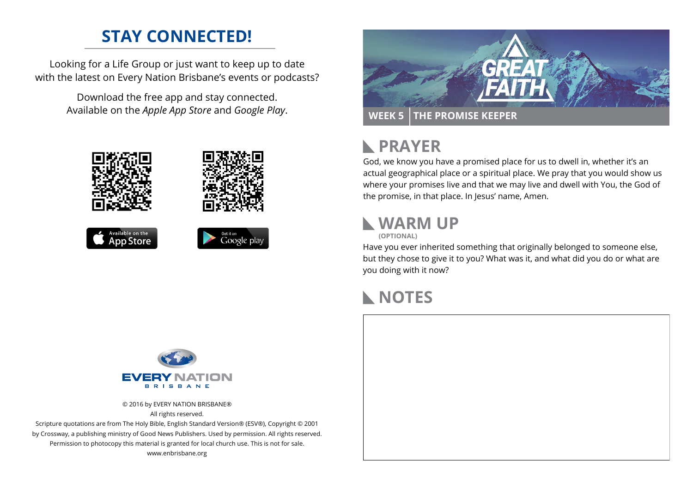## **STAY CONNECTED!**

Looking for a Life Group or just want to keep up to date with the latest on Every Nation Brisbane's events or podcasts?

> Download the free app and stay connected. Available on the *Apple App Store* and *Google Play*.





#### **PRAYER**  $\mathbb{R}$

God, we know you have a promised place for us to dwell in, whether it's an actual geographical place or a spiritual place. We pray that you would show us where your promises live and that we may live and dwell with You, the God of the promise, in that place. In Jesus' name, Amen.

## **WARM UP**

**(OPTIONAL)**

Have you ever inherited something that originally belonged to someone else, but they chose to give it to you? What was it, and what did you do or what are you doing with it now?

#### **NOTES**



© 2016 by EVERY NATION BRISBANE® All rights reserved.

Scripture quotations are from The Holy Bible, English Standard Version® (ESV®), Copyright © 2001 by Crossway, a publishing ministry of Good News Publishers. Used by permission. All rights reserved. Permission to photocopy this material is granted for local church use. This is not for sale. www.enbrisbane.org